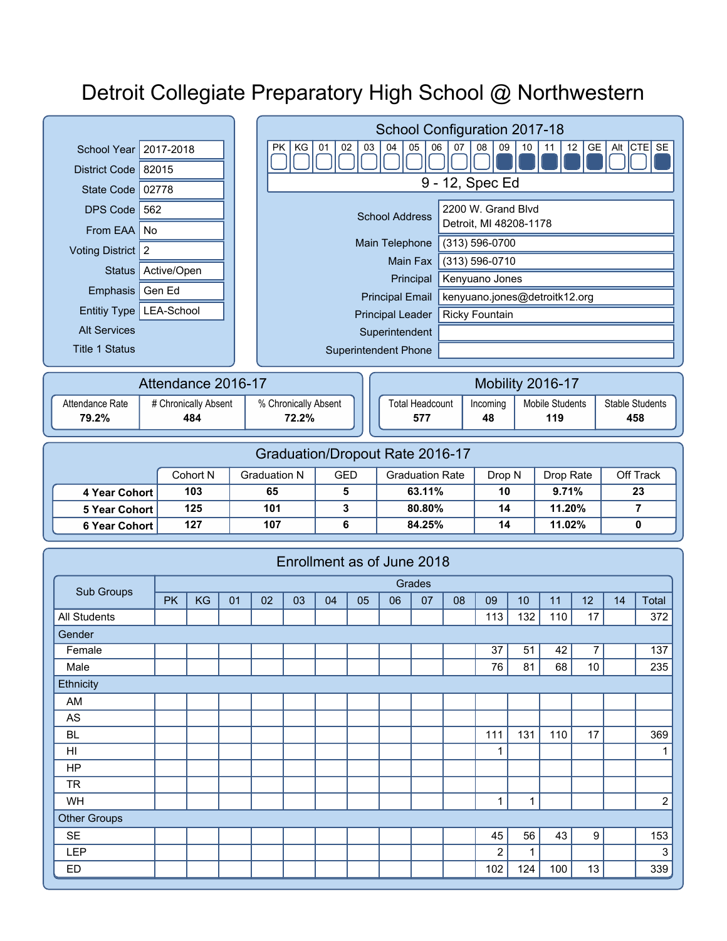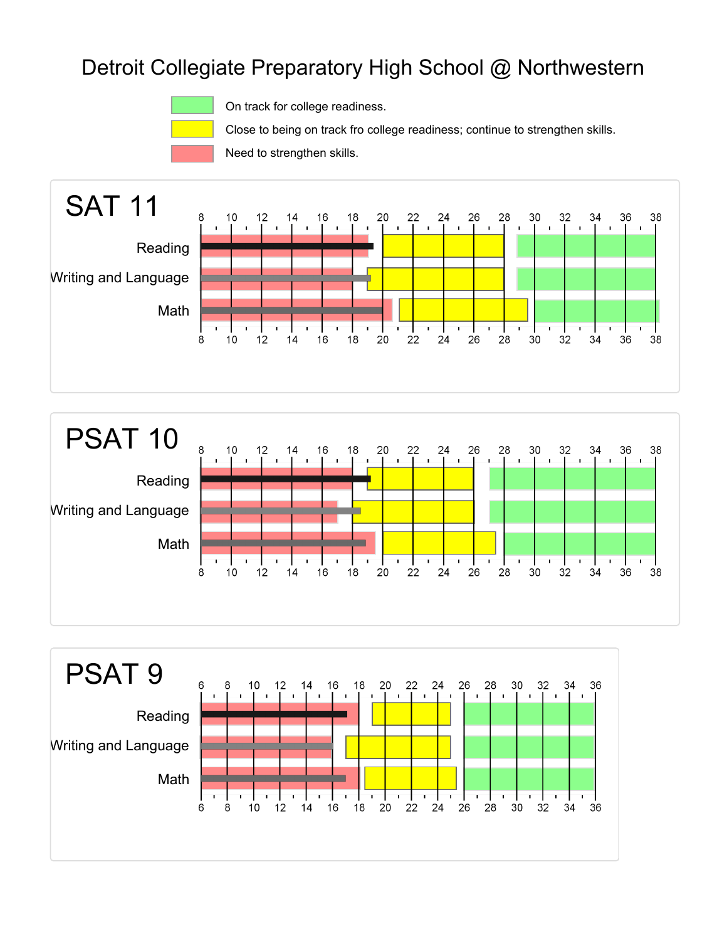

On track for college readiness.

Close to being on track fro college readiness; continue to strengthen skills.

Need to strengthen skills.





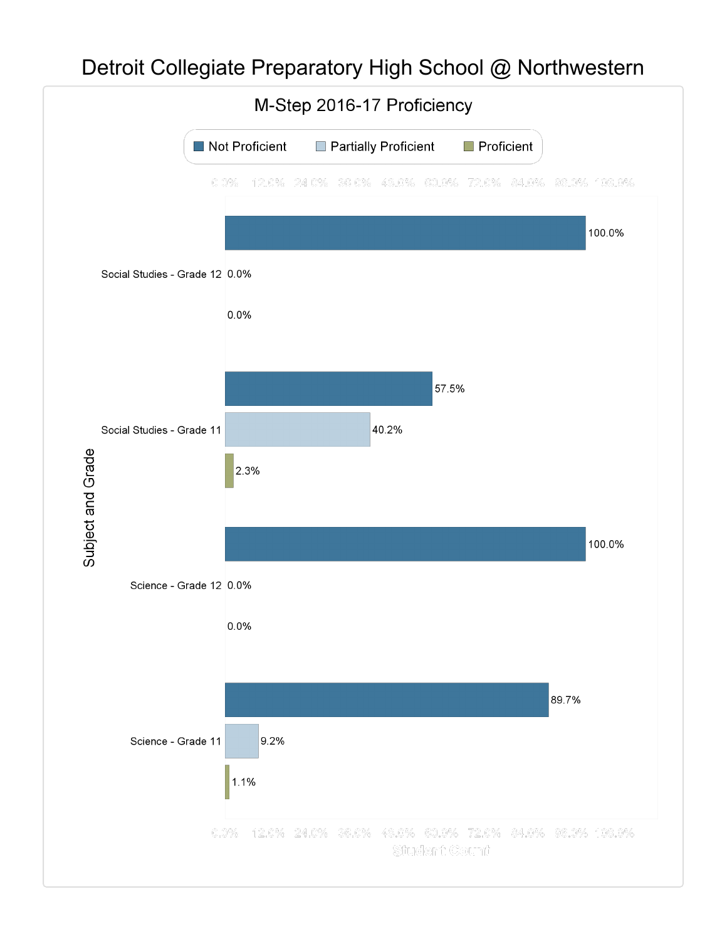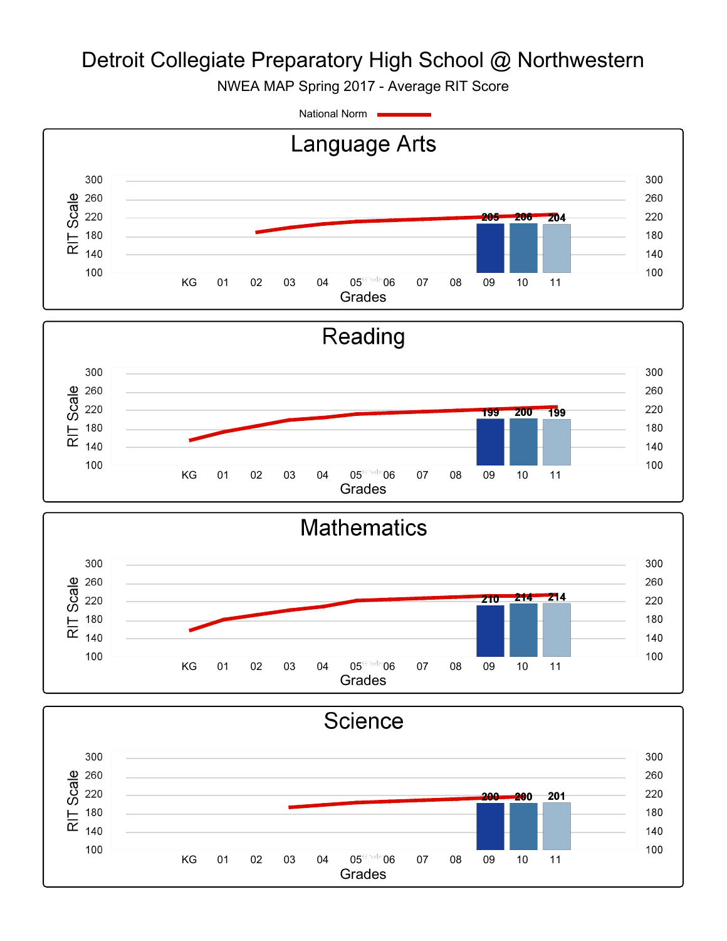NWEA MAP Spring 2017 - Average RIT Score